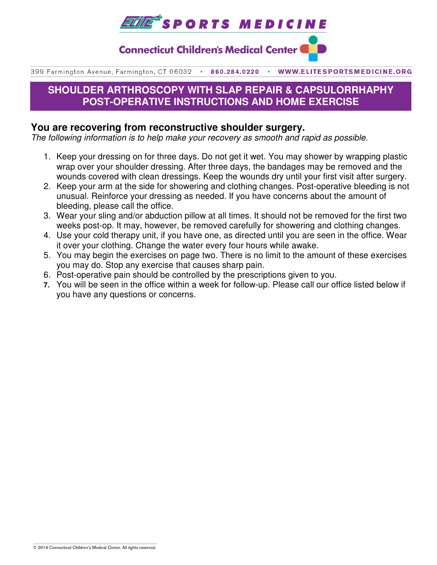

**Connecticut Children's Medical Center (** 

399 Farmington Avenue, Farmington, CT 06032 . 860.284.0220 . WWW.ELITESPORTSMEDICINE.ORG

# **SHOULDER ARTHROSCOPY WITH SLAP REPAIR & CAPSULORRHAPHY POST-OPERATIVE INSTRUCTIONS AND HOME EXERCISE**

### **You are recovering from reconstructive shoulder surgery.**

The following information is to help make your recovery as smooth and rapid as possible.

- 1. Keep your dressing on for three days. Do not get it wet. You may shower by wrapping plastic wrap over your shoulder dressing. After three days, the bandages may be removed and the wounds covered with clean dressings. Keep the wounds dry until your first visit after surgery.
- 2. Keep your arm at the side for showering and clothing changes. Post-operative bleeding is not unusual. Reinforce your dressing as needed. If you have concerns about the amount of bleeding, please call the office.
- 3. Wear your sling and/or abduction pillow at all times. It should not be removed for the first two weeks post-op. It may, however, be removed carefully for showering and clothing changes.
- 4. Use your cold therapy unit, if you have one, as directed until you are seen in the office. Wear it over your clothing. Change the water every four hours while awake.
- 5. You may begin the exercises on page two. There is no limit to the amount of these exercises you may do. Stop any exercise that causes sharp pain.
- 6. Post-operative pain should be controlled by the prescriptions given to you.
- **7.** You will be seen in the office within a week for follow-up. Please call our office listed below if you have any questions or concerns.